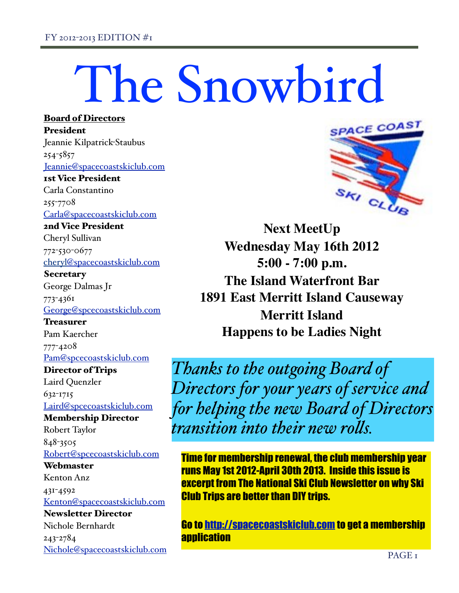Board of Directors

# The Snowbird

President Jeannie Kilpatrick-Staubus 254-5857 [Jeannie@spacecoastskiclub.com](mailto:Jeannie@spacecoastskiclub.com) 1st Vice President Carla Constantino 255-7708 [Carla@spacecoastskiclub.com](mailto:Carla@spcecoastskiclub.com) 2nd Vice President Cheryl Sullivan 772-530-0677 cheryl@spacecoastskiclub.com **Secretary** George Dalmas Jr 773-4361 [George@spcecoastskiclub.com](mailto:George@spcecoastskiclub.com) **Treasurer** Pam Kaercher 777-4208 [Pam@spcecoastskiclub.com](mailto:Pam@spcecoastskiclub.com) Director of Trips Laird Quenzler 632-1715 [Laird@spcecoastskiclub.com](mailto:Laird@spcecoastskiclub.com) Membership Director Robert Taylor 848-3505 [Robert@spcecoastskiclub.com](mailto:Robert@spcecoastskiclub.com) **Webmaster** Kenton Anz 431-4592 [Kenton@spacecoastskiclub.com](mailto:Kenton@spacecoastskiclub.com) Newsletter Director Nichole Bernhardt 243-2784 [Nichole@spacecoastskiclub.com](mailto:Nichole@spacecoastskiclub.com)



**Next MeetUp Wednesday May 16th 2012 5:00 - 7:00 p.m. The Island Waterfront Bar 1891 East Merritt Island Causeway Merritt Island Happens to be Ladies Night**

*Thanks to the outgoing Board of Directors for your years of service and for helping the new Board of Directors transition into their new ro!s.*

Time for membership renewal, the club membership year runs May 1st 2012-April 30th 2013. Inside this issue is excerpt from The National Ski Club Newsletter on why Ski Club Trips are better than DIY trips.

Go to<http://spacecoastskiclub.com>to get a membership **application**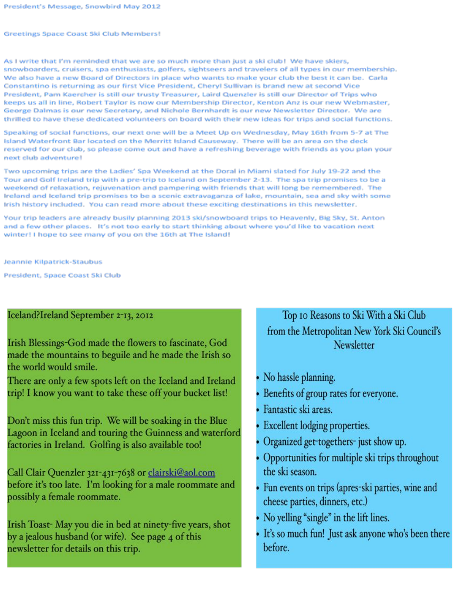#### Greetings Space Coast Ski Club Members!

As I write that I'm reminded that we are so much more than just a ski club! We have skiers, snowboarders, cruisers, spa enthusiasts, golfers, sightseers and travelers of all types in our membership. We also have a new Board of Directors in place who wants to make your club the best it can be. Carla Constantino is returning as our first Vice President, Cheryl Sullivan is brand new at second Vice President, Pam Kaercher is still our trusty Treasurer, Laird Quenzler is still our Director of Trips who keeps us all in line, Robert Taylor is now our Membership Director, Kenton Anz is our new Webmaster, George Dalmas is our new Secretary, and Nichole Bernhardt is our new Newsletter Director. We are thrilled to have these dedicated volunteers on board with their new ideas for trips and social functions.

Speaking of social functions, our next one will be a Meet Up on Wednesday, May 16th from 5-7 at The Island Waterfront Bar located on the Merritt Island Causeway. There will be an area on the deck reserved for our club, so please come out and have a refreshing beverage with friends as you plan your next club adventure!

Two upcoming trips are the Ladies' Spa Weekend at the Doral in Miami slated for July 19-22 and the Tour and Golf Ireland trip with a pre-trip to Iceland on September 2-13. The spa trip promises to be a weekend of relaxation, rejuvenation and pampering with friends that will long be remembered. The Ireland and Iceland trip promises to be a scenic extravaganza of lake, mountain, sea and sky with some Irish history included. You can read more about these exciting destinations in this newsletter.

Your trip leaders are already busily planning 2013 ski/snowboard trips to Heavenly, Big Sky, St. Anton and a few other places. It's not too early to start thinking about where you'd like to vacation next winter! I hope to see many of you on the 16th at The Island!

Jeannie Kilpatrick-Staubus

President, Space Coast Ski Club

### Iceland?Ireland September 2-13, 2012

Irish Blessings-God made the flowers to fascinate, God made the mountains to beguile and he made the Irish so the world would smile.

There are only a few spots left on the Iceland and Ireland trip! I know you want to take these off your bucket list!

Don't miss this fun trip. We will be soaking in the Blue Lagoon in Iceland and touring the Guinness and waterford factories in Ireland. Golfing is also available too!

Call Clair Quenzler 321-431-7638 or clairski@aol.com before it's too late. I'm looking for a male roommate and possibly a female roommate.

Irish Toast-May you die in bed at ninety-five years, shot by a jealous husband (or wife). See page 4 of this newsletter for details on this trip.

## Top 10 Reasons to Ski With a Ski Club from the Metropolitan New York Ski Council's **Newsletter**

- No hassle planning.
- Benefits of group rates for everyone.
- · Fantastic ski areas.
- Excellent lodging properties.
- Organized get-togethers- just show up.
- Opportunities for multiple ski trips throughout the ski season.
- Fun events on trips (apres-ski parties, wine and cheese parties, dinners, etc.)
- No yelling "single" in the lift lines.
- It's so much fun! Just ask anyone who's been there before.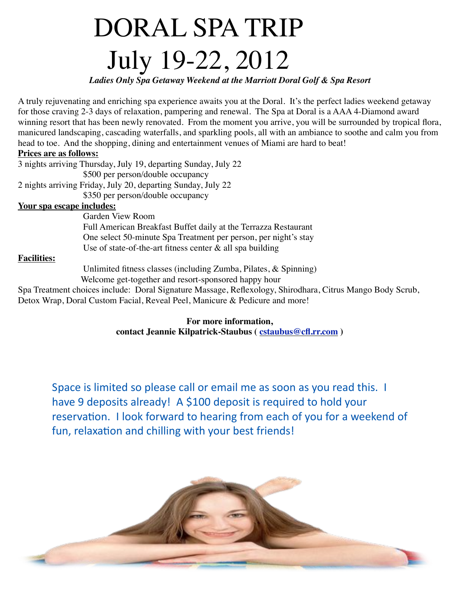## DORAL SPA TRIP July 19-22, 2012

*Ladies Only Spa Getaway Weekend at the Marriott Doral Golf & Spa Resort*

A truly rejuvenating and enriching spa experience awaits you at the Doral. It's the perfect ladies weekend getaway for those craving 2-3 days of relaxation, pampering and renewal. The Spa at Doral is a AAA 4-Diamond award winning resort that has been newly renovated. From the moment you arrive, you will be surrounded by tropical flora, manicured landscaping, cascading waterfalls, and sparkling pools, all with an ambiance to soothe and calm you from head to toe. And the shopping, dining and entertainment venues of Miami are hard to beat!

### **Prices are as follows:**

3 nights arriving Thursday, July 19, departing Sunday, July 22 \$500 per person/double occupancy 2 nights arriving Friday, July 20, departing Sunday, July 22 \$350 per person/double occupancy **Your spa escape includes:**  Garden View Room

 Full American Breakfast Buffet daily at the Terrazza Restaurant One select 50-minute Spa Treatment per person, per night's stay Use of state-of-the-art fitness center  $\&$  all spa building

## **Facilities:**

 Unlimited fitness classes (including Zumba, Pilates, & Spinning) Welcome get-together and resort-sponsored happy hour

Spa Treatment choices include: Doral Signature Massage, Reflexology, Shirodhara, Citrus Mango Body Scrub, Detox Wrap, Doral Custom Facial, Reveal Peel, Manicure & Pedicure and more!

> **For more information, contact Jeannie Kilpatrick-Staubus ( [cstaubus@cfl.rr.com](mailto:cstaubus@cfl.rr.com) )**

Space is limited so please call or email me as soon as you read this. I have 9 deposits already! A \$100 deposit is required to hold your reservation. I look forward to hearing from each of you for a weekend of fun, relaxation and chilling with your best friends!

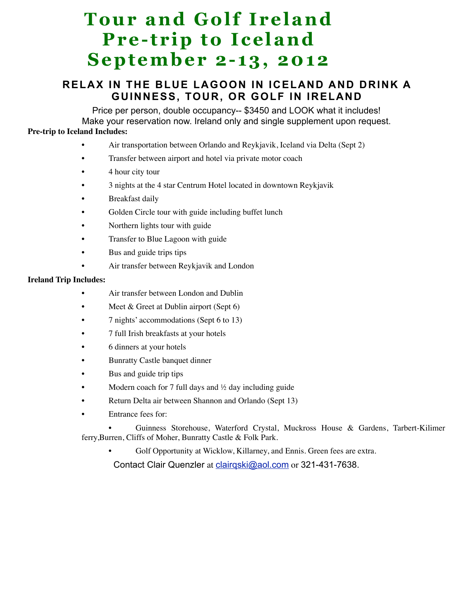## **Tour and Golf Ireland Pre-trip to Iceland September 2-13, 2012**

## **RELAX IN THE BLUE LAGOON IN ICELAND AND DRINK A GUINNESS, TOUR, OR GOLF IN IRELAND**

Price per person, double occupancy-- \$3450 and LOOK what it includes! Make your reservation now. Ireland only and single supplement upon request. **Pre-trip to Iceland Includes:**

- Air transportation between Orlando and Reykjavik, Iceland via Delta (Sept 2)
- Transfer between airport and hotel via private motor coach
- 4 hour city tour
- 3 nights at the 4 star Centrum Hotel located in downtown Reykjavik
- Breakfast daily
- Golden Circle tour with guide including buffet lunch
- Northern lights tour with guide
- Transfer to Blue Lagoon with guide
- Bus and guide trips tips
- Air transfer between Reykjavik and London

#### **Ireland Trip Includes:**

- Air transfer between London and Dublin
- Meet & Greet at Dublin airport (Sept 6)
- 7 nights' accommodations (Sept 6 to 13)
- 7 full Irish breakfasts at your hotels
- 6 dinners at your hotels
- Bunratty Castle banquet dinner
- Bus and guide trip tips
- Modern coach for 7 full days and  $\frac{1}{2}$  day including guide
- Return Delta air between Shannon and Orlando (Sept 13)
- Entrance fees for:

• Guinness Storehouse, Waterford Crystal, Muckross House & Gardens, Tarbert-Kilimer ferry,Burren, Cliffs of Moher, Bunratty Castle & Folk Park.

Golf Opportunity at Wicklow, Killarney, and Ennis. Green fees are extra.

Contact Clair Quenzler at [clairqski@aol.com](mailto:clairqski@aol.com) or 321-431-7638.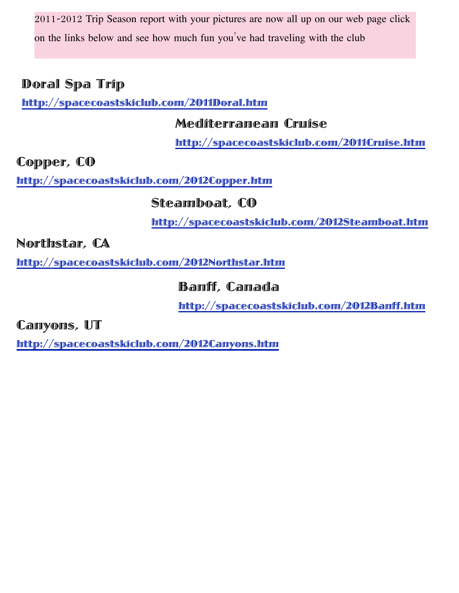2011-2012 Trip Season report with your pictures are now all up on our web page click on the links below and see how much fun you've had traveling with the club

## Doral Spa Trip

<http://spacecoastskiclub.com/2011Doral.htm>

## Mediterranean Cruise

<http://spacecoastskiclub.com/2011Cruise.htm>

Copper, CO

<http://spacecoastskiclub.com/2012Copper.htm>

Steamboat, CO

<http://spacecoastskiclub.com/2012Steamboat.htm>

Northstar, CA

<http://spacecoastskiclub.com/2012Northstar.htm>

Banff, Canada

<http://spacecoastskiclub.com/2012Banff.htm>

Canyons, UT

<http://spacecoastskiclub.com/2012Canyons.htm>